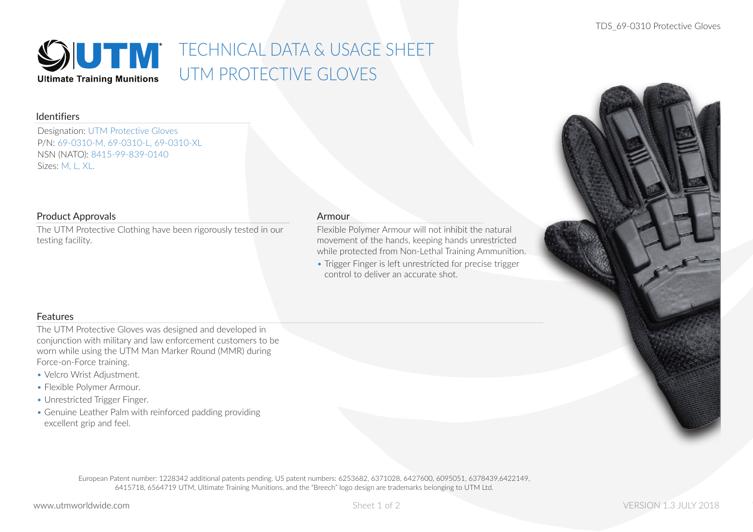

# **SOUTIM** TECHNICAL DATA & USAGE SHEET UTM PROTECTIVE GLOVES

#### Identifiers

Designation: UTM Protective Gloves P/N: 69-0310-M, 69-0310-L, 69-0310-XL NSN (NATO): 8415-99-839-0140 Sizes: M, L, XL.

#### Product Approvals

The UTM Protective Clothing have been rigorously tested in our testing facility.

#### Armour

Flexible Polymer Armour will not inhibit the natural movement of the hands, keeping hands unrestricted while protected from Non-Lethal Training Ammunition.

• Trigger Finger is left unrestricted for precise trigger control to deliver an accurate shot.

## **Features**

The UTM Protective Gloves was designed and developed in conjunction with military and law enforcement customers to be worn while using the UTM Man Marker Round (MMR) during Force-on-Force training.

- Velcro Wrist Adjustment.
- Flexible Polymer Armour.
- Unrestricted Trigger Finger.
- Genuine Leather Palm with reinforced padding providing excellent grip and feel.

European Patent number: 1228342 additional patents pending. US patent numbers: 6253682, 6371028, 6427600, 6095051, 6378439,6422149, 6415718, 6564719 UTM, Ultimate Training Munitions, and the "Breech" logo design are trademarks belonging to UTM Ltd.